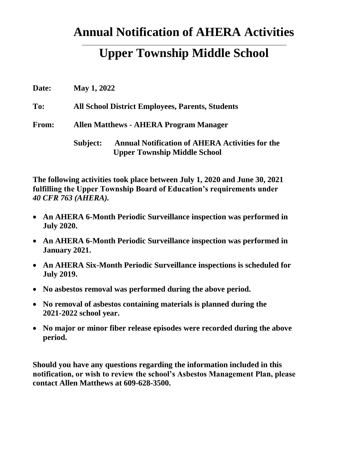## **Annual Notification of AHERA Activities**

## **Upper Township Middle School**

| Date:        | <b>May 1, 2022</b>                                      |                                                                                               |  |
|--------------|---------------------------------------------------------|-----------------------------------------------------------------------------------------------|--|
| To:          | <b>All School District Employees, Parents, Students</b> |                                                                                               |  |
| <b>From:</b> | <b>Allen Matthews - AHERA Program Manager</b>           |                                                                                               |  |
|              | Subject:                                                | <b>Annual Notification of AHERA Activities for the</b><br><b>Upper Township Middle School</b> |  |

**The following activities took place between July 1, 2020 and June 30, 2021 fulfilling the Upper Township Board of Education's requirements under**  *40 CFR 763 (AHERA).*

- **An AHERA 6-Month Periodic Surveillance inspection was performed in July 2020.**
- **An AHERA 6-Month Periodic Surveillance inspection was performed in January 2021.**
- **An AHERA Six-Month Periodic Surveillance inspections is scheduled for July 2019.**
- **No asbestos removal was performed during the above period.**
- **No removal of asbestos containing materials is planned during the 2021-2022 school year.**
- **No major or minor fiber release episodes were recorded during the above period.**

**Should you have any questions regarding the information included in this notification, or wish to review the school's Asbestos Management Plan, please contact Allen Matthews at 609-628-3500.**